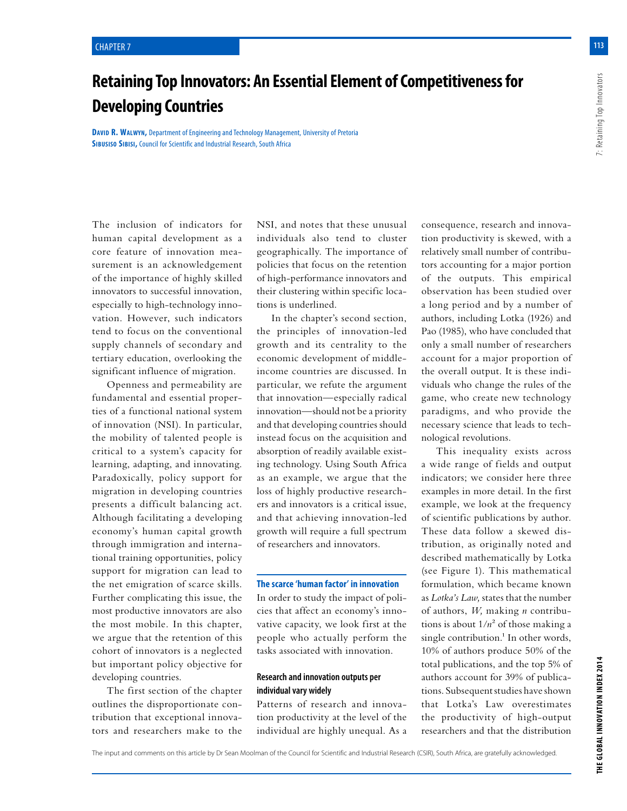# **Retaining Top Innovators: An Essential Element of Competitiveness for Developing Countries**

The inclusion of indicators for human capital development as a core feature of innovation measurement is an acknowledgement of the importance of highly skilled innovators to successful innovation, especially to high-technology innovation. However, such indicators tend to focus on the conventional supply channels of secondary and tertiary education, overlooking the significant influence of migration.

Openness and permeability are fundamental and essential properties of a functional national system of innovation (NSI). In particular, the mobility of talented people is critical to a system's capacity for learning, adapting, and innovating. Paradoxically, policy support for migration in developing countries presents a difficult balancing act. Although facilitating a developing economy's human capital growth through immigration and international training opportunities, policy support for migration can lead to the net emigration of scarce skills. Further complicating this issue, the most productive innovators are also the most mobile. In this chapter, we argue that the retention of this cohort of innovators is a neglected but important policy objective for developing countries.

The first section of the chapter outlines the disproportionate contribution that exceptional innovators and researchers make to the NSI, and notes that these unusual individuals also tend to cluster geographically. The importance of policies that focus on the retention of high-performance innovators and their clustering within specific locations is underlined.

In the chapter's second section, the principles of innovation-led growth and its centrality to the economic development of middleincome countries are discussed. In particular, we refute the argument that innovation—especially radical innovation—should not be a priority and that developing countries should instead focus on the acquisition and absorption of readily available existing technology. Using South Africa as an example, we argue that the loss of highly productive researchers and innovators is a critical issue, and that achieving innovation-led growth will require a full spectrum of researchers and innovators.

**The scarce 'human factor' in innovation**

In order to study the impact of policies that affect an economy's innovative capacity, we look first at the people who actually perform the tasks associated with innovation.

## **Research and innovation outputs per individual vary widely**

Patterns of research and innovation productivity at the level of the individual are highly unequal. As a

consequence, research and innovation productivity is skewed, with a relatively small number of contributors accounting for a major portion of the outputs. This empirical observation has been studied over a long period and by a number of authors, including Lotka (1926) and Pao (1985), who have concluded that only a small number of researchers account for a major proportion of the overall output. It is these individuals who change the rules of the game, who create new technology paradigms, and who provide the necessary science that leads to technological revolutions.

This inequality exists across a wide range of fields and output indicators; we consider here three examples in more detail. In the first example, we look at the frequency of scientific publications by author. These data follow a skewed distribution, as originally noted and described mathematically by Lotka (see Figure 1). This mathematical formulation, which became known as *Lotka's Law,* states that the number of authors, *W,* making *n* contributions is about  $1/n^2$  of those making a single contribution.<sup>1</sup> In other words, 10% of authors produce 50% of the total publications, and the top 5% of authors account for 39% of publications. Subsequent studies have shown that Lotka's Law overestimates the productivity of high-output researchers and that the distribution

**113**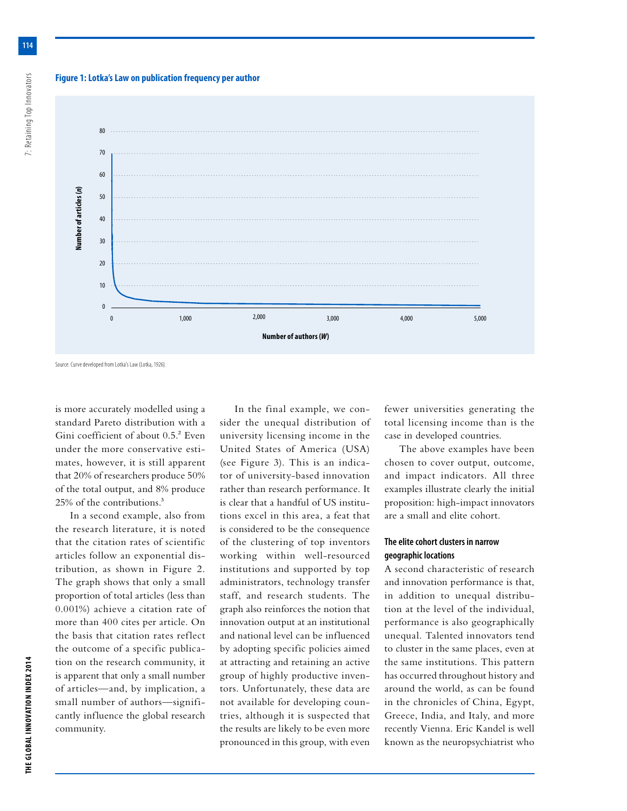## **Figure 1: Lotka's Law on publication frequency per author**



Source: Curve developed from Lotka's Law (Lotka, 1926).

is more accurately modelled using a standard Pareto distribution with a Gini coefficient of about 0.5.<sup>2</sup> Even under the more conservative estimates, however, it is still apparent that 20% of researchers produce 50% of the total output, and 8% produce 25% of the contributions.3

In a second example, also from the research literature, it is noted that the citation rates of scientific articles follow an exponential distribution, as shown in Figure 2. The graph shows that only a small proportion of total articles (less than 0.001%) achieve a citation rate of more than 400 cites per article. On the basis that citation rates reflect the outcome of a specific publication on the research community, it is apparent that only a small number of articles—and, by implication, a small number of authors—significantly influence the global research community.

In the final example, we consider the unequal distribution of university licensing income in the United States of America (USA) (see Figure 3). This is an indicator of university-based innovation rather than research performance. It is clear that a handful of US institutions excel in this area, a feat that is considered to be the consequence of the clustering of top inventors working within well-resourced institutions and supported by top administrators, technology transfer staff, and research students. The graph also reinforces the notion that innovation output at an institutional and national level can be influenced by adopting specific policies aimed at attracting and retaining an active group of highly productive inventors. Unfortunately, these data are not available for developing countries, although it is suspected that the results are likely to be even more pronounced in this group, with even

fewer universities generating the total licensing income than is the case in developed countries.

The above examples have been chosen to cover output, outcome, and impact indicators. All three examples illustrate clearly the initial proposition: high-impact innovators are a small and elite cohort.

## **The elite cohort clusters in narrow geographic locations**

A second characteristic of research and innovation performance is that, in addition to unequal distribution at the level of the individual, performance is also geographically unequal. Talented innovators tend to cluster in the same places, even at the same institutions. This pattern has occurred throughout history and around the world, as can be found in the chronicles of China, Egypt, Greece, India, and Italy, and more recently Vienna. Eric Kandel is well known as the neuropsychiatrist who

**114**

7: Retaining Top Innovators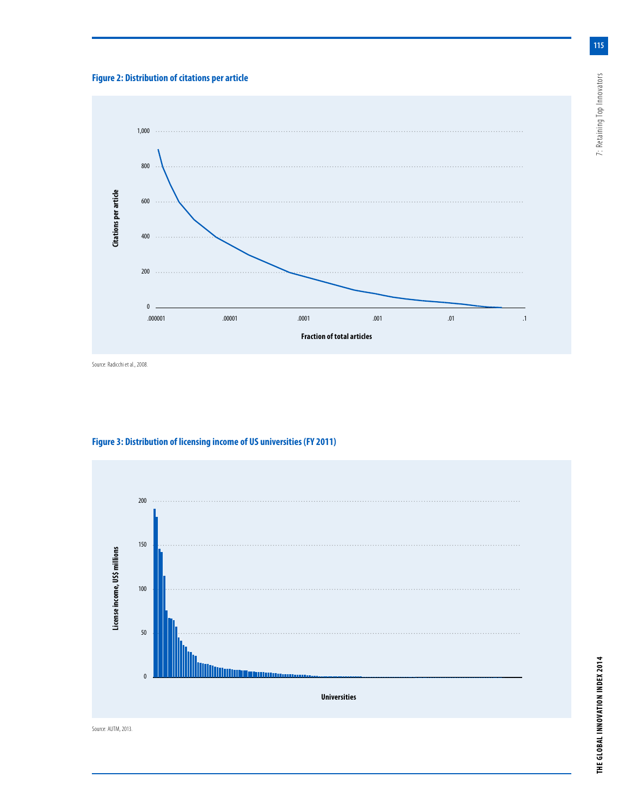## **Figure 2: Distribution of citations per article**



Source: Radicchi et al., 2008.



**THE GLOBAL INNOVATION INDEX 2014** 7: Retaining Top Innovators THE GLOBAL INNOVATION INDEX 2014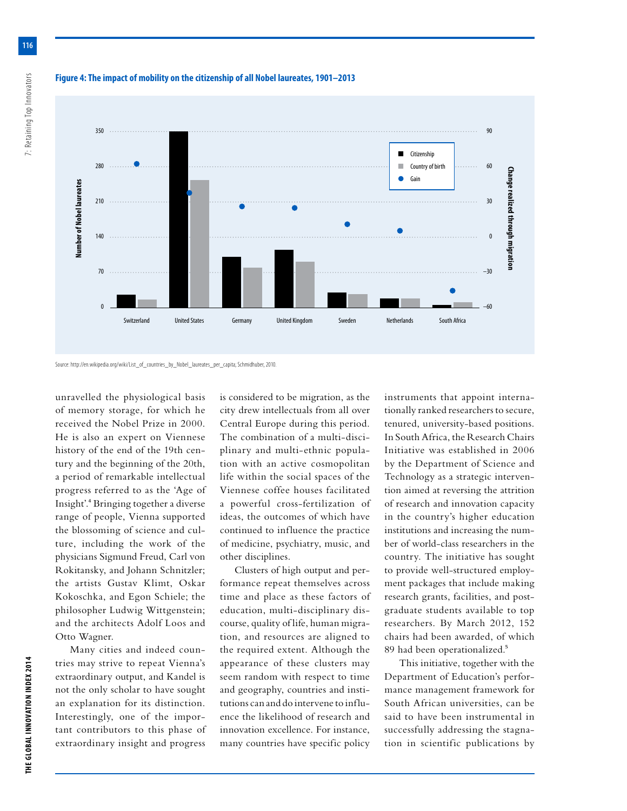

## **Figure 4: The impact of mobility on the citizenship of all Nobel laureates, 1901–2013**



unravelled the physiological basis of memory storage, for which he received the Nobel Prize in 2000. He is also an expert on Viennese history of the end of the 19th century and the beginning of the 20th, a period of remarkable intellectual progress referred to as the 'Age of Insight'.4 Bringing together a diverse range of people, Vienna supported the blossoming of science and culture, including the work of the physicians Sigmund Freud, Carl von Rokitansky, and Johann Schnitzler; the artists Gustav Klimt, Oskar Kokoschka, and Egon Schiele; the philosopher Ludwig Wittgenstein; and the architects Adolf Loos and Otto Wagner.

Many cities and indeed countries may strive to repeat Vienna's extraordinary output, and Kandel is not the only scholar to have sought an explanation for its distinction. Interestingly, one of the important contributors to this phase of extraordinary insight and progress is considered to be migration, as the city drew intellectuals from all over Central Europe during this period. The combination of a multi-disciplinary and multi-ethnic population with an active cosmopolitan life within the social spaces of the Viennese coffee houses facilitated a powerful cross-fertilization of ideas, the outcomes of which have continued to influence the practice of medicine, psychiatry, music, and other disciplines.

Switzerland United States Germany United Kingdom Sweden Netherlands South Africa

Clusters of high output and performance repeat themselves across time and place as these factors of education, multi-disciplinary discourse, quality of life, human migration, and resources are aligned to the required extent. Although the appearance of these clusters may seem random with respect to time and geography, countries and institutions can and do intervene to influence the likelihood of research and innovation excellence. For instance, many countries have specific policy

instruments that appoint internationally ranked researchers to secure, tenured, university-based positions. In South Africa, the Research Chairs Initiative was established in 2006 by the Department of Science and Technology as a strategic intervention aimed at reversing the attrition of research and innovation capacity in the country's higher education institutions and increasing the number of world-class researchers in the country. The initiative has sought to provide well-structured employment packages that include making research grants, facilities, and postgraduate students available to top researchers. By March 2012, 152 chairs had been awarded, of which 89 had been operationalized.5

This initiative, together with the Department of Education's performance management framework for South African universities, can be said to have been instrumental in successfully addressing the stagnation in scientific publications by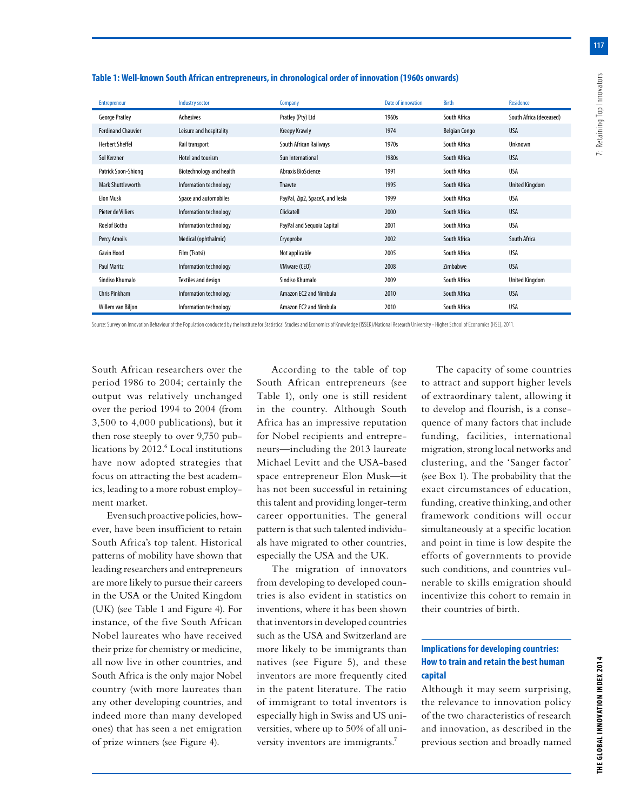| <b>Entrepreneur</b>       | <b>Industry sector</b>   | Company                         | Date of innovation | Birth                | Residence               |
|---------------------------|--------------------------|---------------------------------|--------------------|----------------------|-------------------------|
| <b>George Pratley</b>     | Adhesives                | Pratley (Pty) Ltd               | 1960s              | South Africa         | South Africa (deceased) |
| <b>Ferdinand Chauvier</b> | Leisure and hospitality  | <b>Kreepy Krawly</b>            | 1974               | <b>Belgian Congo</b> | <b>USA</b>              |
| <b>Herbert Sheffel</b>    | Rail transport           | South African Railways          | 1970s              | South Africa         | Unknown                 |
| Sol Kerzner               | Hotel and tourism        | Sun International               | 1980s              | South Africa         | <b>USA</b>              |
| Patrick Soon-Shiong       | Biotechnology and health | Abraxis BioScience              | 1991               | South Africa         | <b>USA</b>              |
| <b>Mark Shuttleworth</b>  | Information technology   | Thawte                          | 1995               | South Africa         | <b>United Kingdom</b>   |
| <b>Elon Musk</b>          | Space and automobiles    | PayPal, Zip2, SpaceX, and Tesla | 1999               | South Africa         | <b>USA</b>              |
| Pieter de Villiers        | Information technology   | Clickatell                      | 2000               | South Africa         | <b>USA</b>              |
| <b>Roelof Botha</b>       | Information technology   | PayPal and Sequoia Capital      | 2001               | South Africa         | <b>USA</b>              |
| Percy Amoils              | Medical (ophthalmic)     | Cryoprobe                       | 2002               | South Africa         | South Africa            |
| <b>Gavin Hood</b>         | Film (Tsotsi)            | Not applicable                  | 2005               | South Africa         | USA                     |
| <b>Paul Maritz</b>        | Information technology   | VMware (CEO)                    | 2008               | Zimbabwe             | <b>USA</b>              |
| Sindiso Khumalo           | Textiles and design      | Sindiso Khumalo                 | 2009               | South Africa         | <b>United Kingdom</b>   |
| <b>Chris Pinkham</b>      | Information technology   | Amazon EC2 and Nimbula          | 2010               | South Africa         | <b>USA</b>              |
| Willem van Biljon         | Information technology   | Amazon EC2 and Nimbula          | 2010               | South Africa         | <b>USA</b>              |

#### **Table 1: Well-known South African entrepreneurs, in chronological order of innovation (1960s onwards)**

Source: Survey on Innovation Behaviour of the Population conducted by the Institute for Statistical Studies and Economics of Knowledge (ISSEK)/National Research University - Higher School of Economics (HSE), 2011.

South African researchers over the period 1986 to 2004; certainly the output was relatively unchanged over the period 1994 to 2004 (from 3,500 to 4,000 publications), but it then rose steeply to over 9,750 publications by 2012.<sup>6</sup> Local institutions have now adopted strategies that focus on attracting the best academics, leading to a more robust employment market.

Even such proactive policies, however, have been insufficient to retain South Africa's top talent. Historical patterns of mobility have shown that leading researchers and entrepreneurs are more likely to pursue their careers in the USA or the United Kingdom (UK) (see Table 1 and Figure 4). For instance, of the five South African Nobel laureates who have received their prize for chemistry or medicine, all now live in other countries, and South Africa is the only major Nobel country (with more laureates than any other developing countries, and indeed more than many developed ones) that has seen a net emigration of prize winners (see Figure 4).

According to the table of top South African entrepreneurs (see Table 1), only one is still resident in the country. Although South Africa has an impressive reputation for Nobel recipients and entrepreneurs—including the 2013 laureate Michael Levitt and the USA-based space entrepreneur Elon Musk—it has not been successful in retaining this talent and providing longer-term career opportunities. The general pattern is that such talented individuals have migrated to other countries, especially the USA and the UK.

The migration of innovators from developing to developed countries is also evident in statistics on inventions, where it has been shown that inventors in developed countries such as the USA and Switzerland are more likely to be immigrants than natives (see Figure 5), and these inventors are more frequently cited in the patent literature. The ratio of immigrant to total inventors is especially high in Swiss and US universities, where up to 50% of all university inventors are immigrants.7

The capacity of some countries to attract and support higher levels of extraordinary talent, allowing it to develop and flourish, is a consequence of many factors that include funding, facilities, international migration, strong local networks and clustering, and the 'Sanger factor' (see Box 1). The probability that the exact circumstances of education, funding, creative thinking, and other framework conditions will occur simultaneously at a specific location and point in time is low despite the efforts of governments to provide such conditions, and countries vulnerable to skills emigration should incentivize this cohort to remain in their countries of birth.

## **Implications for developing countries: How to train and retain the best human capital**

Although it may seem surprising, the relevance to innovation policy of the two characteristics of research and innovation, as described in the previous section and broadly named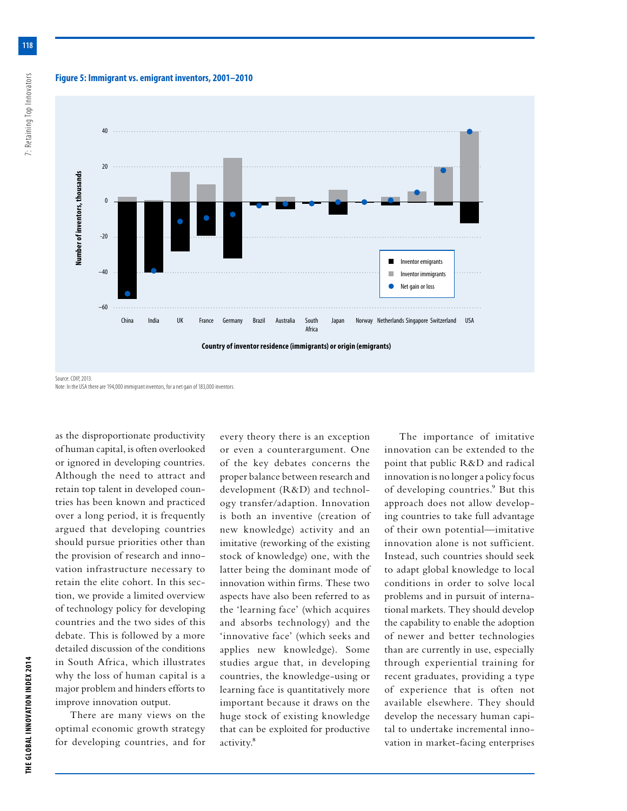**Figure 5: Immigrant vs. emigrant inventors, 2001–2010**



Note: In the USA there are 194,000 immigrant inventors, for a net gain of 183,000 inventors.

as the disproportionate productivity of human capital, is often overlooked or ignored in developing countries. Although the need to attract and retain top talent in developed countries has been known and practiced over a long period, it is frequently argued that developing countries should pursue priorities other than the provision of research and innovation infrastructure necessary to retain the elite cohort. In this section, we provide a limited overview of technology policy for developing countries and the two sides of this debate. This is followed by a more detailed discussion of the conditions in South Africa, which illustrates why the loss of human capital is a major problem and hinders efforts to improve innovation output.

There are many views on the optimal economic growth strategy for developing countries, and for every theory there is an exception or even a counterargument. One of the key debates concerns the proper balance between research and development (R&D) and technology transfer/adaption. Innovation is both an inventive (creation of new knowledge) activity and an imitative (reworking of the existing stock of knowledge) one, with the latter being the dominant mode of innovation within firms. These two aspects have also been referred to as the 'learning face' (which acquires and absorbs technology) and the 'innovative face' (which seeks and applies new knowledge). Some studies argue that, in developing countries, the knowledge-using or learning face is quantitatively more important because it draws on the huge stock of existing knowledge that can be exploited for productive activity.8

The importance of imitative innovation can be extended to the point that public R&D and radical innovation is no longer a policy focus of developing countries.<sup>9</sup> But this approach does not allow developing countries to take full advantage of their own potential—imitative innovation alone is not sufficient. Instead, such countries should seek to adapt global knowledge to local conditions in order to solve local problems and in pursuit of international markets. They should develop the capability to enable the adoption of newer and better technologies than are currently in use, especially through experiential training for recent graduates, providing a type of experience that is often not available elsewhere. They should develop the necessary human capital to undertake incremental innovation in market-facing enterprises

7: Retaining Top Innovators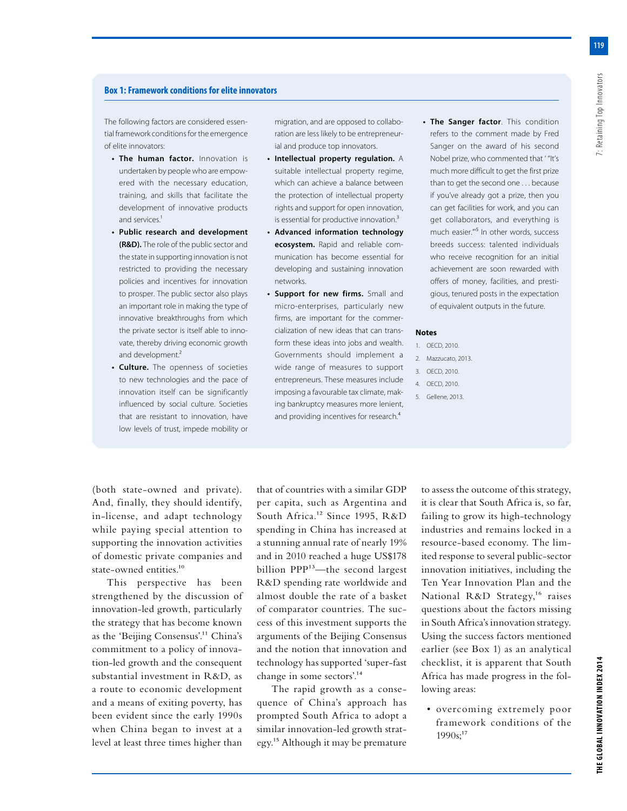## **Box 1: Framework conditions for elite innovators**

The following factors are considered essential framework conditions for the emergence of elite innovators:

- **• The human factor.** Innovation is undertaken by people who are empowered with the necessary education, training, and skills that facilitate the development of innovative products and services.<sup>1</sup>
- **• Public research and development (R&D).** The role of the public sector and the state in supporting innovation is not restricted to providing the necessary policies and incentives for innovation to prosper. The public sector also plays an important role in making the type of innovative breakthroughs from which the private sector is itself able to innovate, thereby driving economic growth and development.<sup>2</sup>
- **• Culture.** The openness of societies to new technologies and the pace of innovation itself can be significantly influenced by social culture. Societies that are resistant to innovation, have low levels of trust, impede mobility or

migration, and are opposed to collaboration are less likely to be entrepreneurial and produce top innovators.

- **• Intellectual property regulation.** A suitable intellectual property regime, which can achieve a balance between the protection of intellectual property rights and support for open innovation, is essential for productive innovation.<sup>3</sup>
- **• Advanced information technology ecosystem.** Rapid and reliable communication has become essential for developing and sustaining innovation networks.
- **• Support for new firms.** Small and micro-enterprises, particularly new firms, are important for the commercialization of new ideas that can transform these ideas into jobs and wealth. Governments should implement a wide range of measures to support entrepreneurs. These measures include imposing a favourable tax climate, making bankruptcy measures more lenient, and providing incentives for research.<sup>4</sup>
- **• The Sanger factor**. This condition refers to the comment made by Fred Sanger on the award of his second Nobel prize, who commented that ' "It's much more difficult to get the first prize than to get the second one . . . because if you've already got a prize, then you can get facilities for work, and you can get collaborators, and everything is much easier."'5 In other words, success breeds success: talented individuals who receive recognition for an initial achievement are soon rewarded with offers of money, facilities, and prestigious, tenured posts in the expectation of equivalent outputs in the future.

#### **Notes**

- 1. OECD, 2010.
- 2. Mazzucato, 2013.
- 3. OECD, 2010.
- 4. OECD, 2010.
- 5. Gellene, 2013.

(both state-owned and private). And, finally, they should identify, in-license, and adapt technology while paying special attention to supporting the innovation activities of domestic private companies and state-owned entities.<sup>10</sup>

This perspective has been strengthened by the discussion of innovation-led growth, particularly the strategy that has become known as the 'Beijing Consensus'.11 China's commitment to a policy of innovation-led growth and the consequent substantial investment in R&D, as a route to economic development and a means of exiting poverty, has been evident since the early 1990s when China began to invest at a level at least three times higher than

that of countries with a similar GDP per capita, such as Argentina and South Africa.<sup>12</sup> Since 1995, R&D spending in China has increased at a stunning annual rate of nearly 19% and in 2010 reached a huge US\$178 billion PPP<sup>13</sup>—the second largest R&D spending rate worldwide and almost double the rate of a basket of comparator countries. The success of this investment supports the arguments of the Beijing Consensus and the notion that innovation and technology has supported 'super-fast change in some sectors'.14

The rapid growth as a consequence of China's approach has prompted South Africa to adopt a similar innovation-led growth strategy.15 Although it may be premature

to assess the outcome of this strategy, it is clear that South Africa is, so far, failing to grow its high-technology industries and remains locked in a resource-based economy. The limited response to several public-sector innovation initiatives, including the Ten Year Innovation Plan and the National R&D Strategy,<sup>16</sup> raises questions about the factors missing in South Africa's innovation strategy. Using the success factors mentioned earlier (see Box 1) as an analytical checklist, it is apparent that South Africa has made progress in the following areas:

• overcoming extremely poor framework conditions of the  $1990s$ ;<sup>17</sup>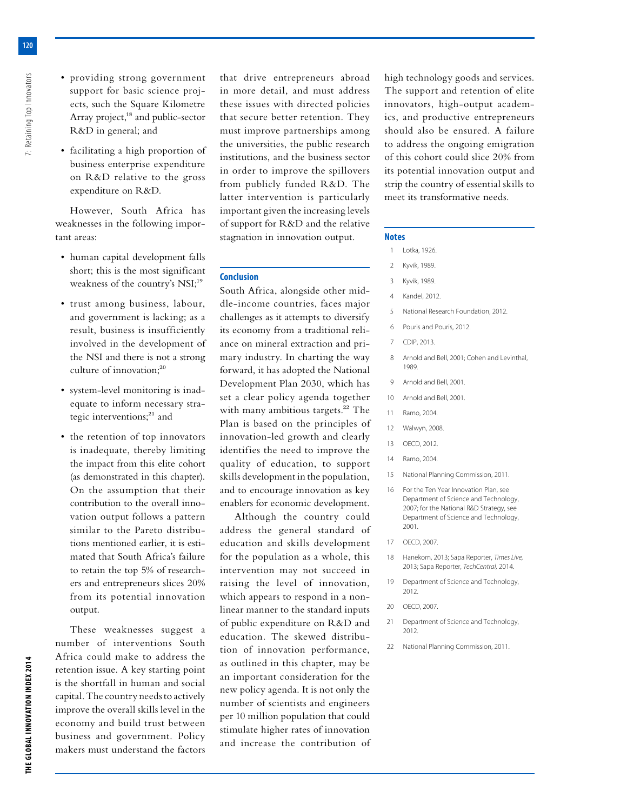- providing strong government support for basic science projects, such the Square Kilometre Array project,<sup>18</sup> and public-sector R&D in general; and
- facilitating a high proportion of business enterprise expenditure on R&D relative to the gross expenditure on R&D.

However, South Africa has weaknesses in the following important areas:

- human capital development falls short; this is the most significant weakness of the country's NSI;<sup>19</sup>
- trust among business, labour, and government is lacking; as a result, business is insufficiently involved in the development of the NSI and there is not a strong culture of innovation;<sup>20</sup>
- system-level monitoring is inadequate to inform necessary strategic interventions;<sup>21</sup> and
- the retention of top innovators is inadequate, thereby limiting the impact from this elite cohort (as demonstrated in this chapter). On the assumption that their contribution to the overall innovation output follows a pattern similar to the Pareto distributions mentioned earlier, it is estimated that South Africa's failure to retain the top 5% of researchers and entrepreneurs slices 20% from its potential innovation output.

These weaknesses suggest a number of interventions South Africa could make to address the retention issue. A key starting point is the shortfall in human and social capital. The country needs to actively improve the overall skills level in the economy and build trust between business and government. Policy makers must understand the factors that drive entrepreneurs abroad in more detail, and must address these issues with directed policies that secure better retention. They must improve partnerships among the universities, the public research institutions, and the business sector in order to improve the spillovers from publicly funded R&D. The latter intervention is particularly important given the increasing levels of support for R&D and the relative stagnation in innovation output.

#### **Conclusion**

South Africa, alongside other middle-income countries, faces major challenges as it attempts to diversify its economy from a traditional reliance on mineral extraction and primary industry. In charting the way forward, it has adopted the National Development Plan 2030, which has set a clear policy agenda together with many ambitious targets.<sup>22</sup> The Plan is based on the principles of innovation-led growth and clearly identifies the need to improve the quality of education, to support skills development in the population, and to encourage innovation as key enablers for economic development.

Although the country could address the general standard of education and skills development for the population as a whole, this intervention may not succeed in raising the level of innovation, which appears to respond in a nonlinear manner to the standard inputs of public expenditure on R&D and education. The skewed distribution of innovation performance, as outlined in this chapter, may be an important consideration for the new policy agenda. It is not only the number of scientists and engineers per 10 million population that could stimulate higher rates of innovation and increase the contribution of high technology goods and services. The support and retention of elite innovators, high-output academics, and productive entrepreneurs should also be ensured. A failure to address the ongoing emigration of this cohort could slice 20% from its potential innovation output and strip the country of essential skills to meet its transformative needs.

#### **Notes**

- 1 Lotka, 1926.
- 2 Kyvik, 1989.
- 3 Kyvik, 1989.
- 4 Kandel, 2012.
- 5 National Research Foundation, 2012.
- 6 Pouris and Pouris, 2012.
- 7 CDIP, 2013.
- 8 Arnold and Bell, 2001: Cohen and Levinthal, 1989.
- 9 Arnold and Bell, 2001.
- 10 Arnold and Bell, 2001.
- 11 Ramo, 2004.
- 12 Walwyn, 2008.
- 13 OECD, 2012.
- 14 Ramo, 2004.
- 15 National Planning Commission, 2011.
- 16 For the Ten Year Innovation Plan, see Department of Science and Technology, 2007; for the National R&D Strategy, see Department of Science and Technology, 2001.
- 17 OECD, 2007.
- 18 Hanekom, 2013; Sapa Reporter, *Times Live,* 2013; Sapa Reporter, *TechCentral,* 2014.
- 19 Department of Science and Technology, 2012.
- 20 OECD, 2007.
- 21 Department of Science and Technology, 2012.
- 22 National Planning Commission, 2011.